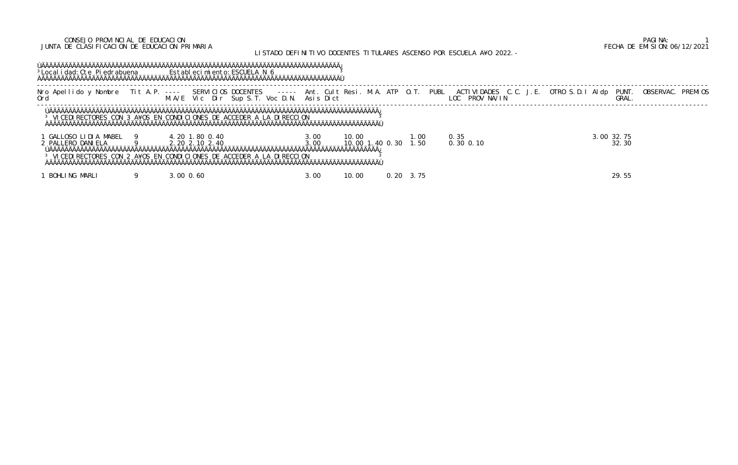### CONSEJO PROVINCIAL DE EDUCACION PAGINA: 1 JUNTA DE CLASIFICACION DE EDUCACION PRIMARIA FECHA DE EMISION:06/12/2021

# LISTADO DEFINITIVO DOCENTES TITULARES ASCENSO POR ESCUELA A¥O 2022.-

| <sup>3</sup> Local i dad: Cte Pi edrabuena Estableci mi ento: ESCUELA N 6                                                      |                |                |  |              |        |                 |                   |                                                                                                                                                                                                               |                     |                   |
|--------------------------------------------------------------------------------------------------------------------------------|----------------|----------------|--|--------------|--------|-----------------|-------------------|---------------------------------------------------------------------------------------------------------------------------------------------------------------------------------------------------------------|---------------------|-------------------|
|                                                                                                                                |                |                |  |              |        |                 |                   | Nro Apellido y Nombre Tit A.P. ---- SERVICIOS DOCENTES   ----- Ant. Cult Resi. M.A. ATP O.T. PUBL ACTIVIDADES C.C. J.E. OTRO S.D.I Aldp<br>Ord                      M.A/E Vic Dir Sup S.T. Voc D.N. Asis Dict | PUNT.<br>GRAL.      | OBSERVAC. PREMIOS |
| <sup>3</sup> VICEDIRECTORES CON 3 A¥OS EN CONDICIONES DE ACCEDER A LA DIRECCION                                                |                |                |  |              |        |                 |                   |                                                                                                                                                                                                               |                     |                   |
| GALLOSO LIDIA MABEL 9<br>2 PALLERO DANI ELA<br><sup>3</sup> VICEDIRECTORES CON 2 A¥OS EN CONDICIONES DE ACCEDER A LA DIRECCION |                | 2.20 2.10 2.40 |  | 3.00<br>3.00 | 10.00  | 10,00 1,40 0,30 | 1. 00<br>1.50     | 0.35<br>$0.30 \, 0.10$                                                                                                                                                                                        | 3.00 32.75<br>32.30 |                   |
| BOHLING MARLI                                                                                                                  | $3.00 \, 0.60$ |                |  | 3.00         | 10, 00 |                 | $0.20 \quad 3.75$ |                                                                                                                                                                                                               | 29.55               |                   |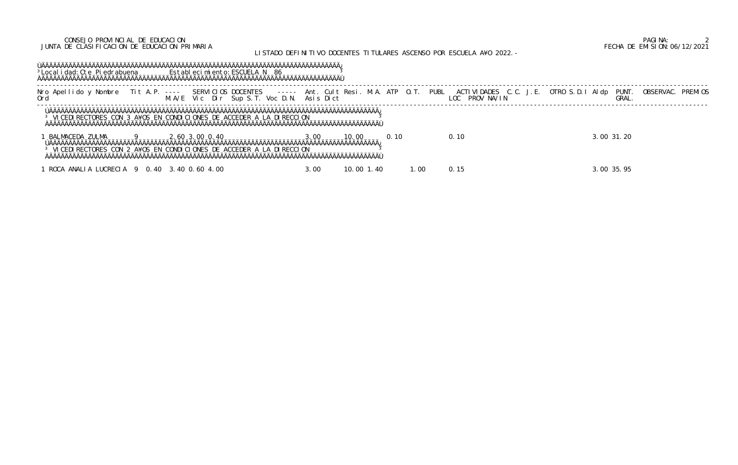### CONSEJO PROVINCIAL DE EDUCACION PAGINA: 2 JUNTA DE CLASIFICACION DE EDUCACION PRIMARIA FECHA DE EMISION:06/12/2021

## LISTADO DEFINITIVO DOCENTES TITULARES ASCENSO POR ESCUELA A¥O 2022.-

### ÚÄÄÄÄÄÄÄÄÄÄÄÄÄÄÄÄÄÄÄÄÄÄÄÄÄÄÄÄÄÄÄÄÄÄÄÄÄÄÄÄÄÄÄÄÄÄÄÄÄÄÄÄÄÄÄÄÄÄÄÄÄÄÄÄÄÄÄÄÄÄÄÄÄÄÄÄÄ¿ <sup>3</sup>Localidad: Cte Piedrabuena Establecimiento: ESCUELA N 86 3 ÀÄÄÄÄÄÄÄÄÄÄÄÄÄÄÄÄÄÄÄÄÄÄÄÄÄÄÄÄÄÄÄÄÄÄÄÄÄÄÄÄÄÄÄÄÄÄÄÄÄÄÄÄÄÄÄÄÄÄÄÄÄÄÄÄÄÄÄÄÄÄÄÄÄÄÄÄÄÙ

 ----------------------------------------------------------------------------------------------------------------------------------------------------------------------------- Nro Apellido y Nombre Tit A.P. ---- SERVICIOS DOCENTES ----- Ant. Cult Resi. M.A. ATP O.T. PUBL ACTIVIDADES C.C. J.E. OTRO S.D.I Aldp PUNT. OBSERVAC. PREMIOS Ord M.A/E Vic Dir Sup S.T. Voc D.N. Asis Dict LOC PROV NA/IN GRAL. -----------------------------------------------------------------------------------------------------------------------------------------------------------------------------

 ÚÄÄÄÄÄÄÄÄÄÄÄÄÄÄÄÄÄÄÄÄÄÄÄÄÄÄÄÄÄÄÄÄÄÄÄÄÄÄÄÄÄÄÄÄÄÄÄÄÄÄÄÄÄÄÄÄÄÄÄÄÄÄÄÄÄÄÄÄÄÄÄÄÄÄÄÄÄÄÄÄÄÄÄÄÄ¿ <sup>3</sup> VICEDIRECTORES CON 3 A¥OS EN CONDICIONES DE ACCEDER A LA DIRECCION <sup>3</sup> ÀÄÄÄÄÄÄÄÄÄÄÄÄÄÄÄÄÄÄÄÄÄÄÄÄÄÄÄÄÄÄÄÄÄÄÄÄÄÄÄÄÄÄÄÄÄÄÄÄÄÄÄÄÄÄÄÄÄÄÄÄÄÄÄÄÄÄÄÄÄÄÄÄÄÄÄÄÄÄÄÄÄÄÄÄÄÙ

 1 BALMACEDA ZULMA 9 2.60 3.00 0.40 3.00 10.00 0.10 0.10 3.00 31.20 ÚÄÄÄÄÄÄÄÄÄÄÄÄÄÄÄÄÄÄÄÄÄÄÄÄÄÄÄÄÄÄÄÄÄÄÄÄÄÄÄÄÄÄÄÄÄÄÄÄÄÄÄÄÄÄÄÄÄÄÄÄÄÄÄÄÄÄÄÄÄÄÄÄÄÄÄÄÄÄÄÄÄÄÄÄÄ¿ <sup>3</sup> VICEDIRECTORES CON 2 A¥OS EN CONDICIONES DE ACCEDER A LA DIRECCION ÀÄÄÄÄÄÄÄÄÄÄÄÄÄÄÄÄÄÄÄÄÄÄÄÄÄÄÄÄÄÄÄÄÄÄÄÄÄÄÄÄÄÄÄÄÄÄÄÄÄÄÄÄÄÄÄÄÄÄÄÄÄÄÄÄÄÄÄÄÄÄÄÄÄÄÄÄÄÄÄÄÄÄÄÄÄÙ

1 ROCA ANALIA LUCRECIA 9 0.40 3.40 0.60 4.00 3.00 3.00 3.00 3.00 1.40 1.00 0.15 3.00 35.95 3.00 35.95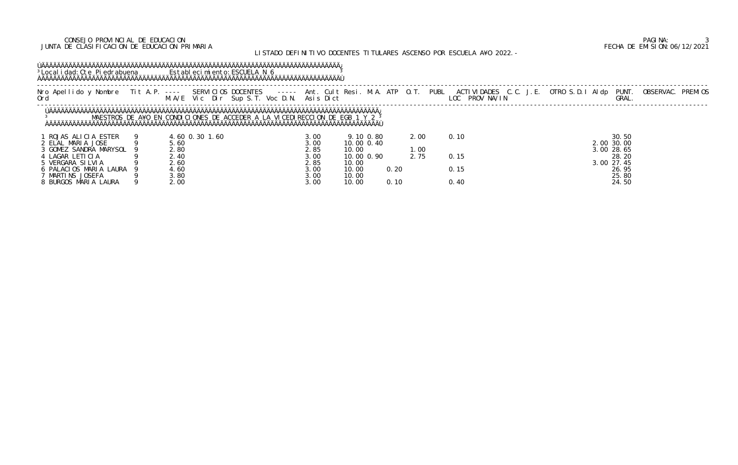### CONSEJO PROVINCIAL DE EDUCACION PAGINA: 3 JUNTA DE CLASIFICACION DE EDUCACION PRIMARIA FECHA DE EMISION:06/12/2021

## LISTADO DEFINITIVO DOCENTES TITULARES ASCENSO POR ESCUELA A¥O 2022.-

### ÚÄÄÄÄÄÄÄÄÄÄÄÄÄÄÄÄÄÄÄÄÄÄÄÄÄÄÄÄÄÄÄÄÄÄÄÄÄÄÄÄÄÄÄÄÄÄÄÄÄÄÄÄÄÄÄÄÄÄÄÄÄÄÄÄÄÄÄÄÄÄÄÄÄÄÄÄÄ¿ <sup>3</sup>Localidad: Cte Piedrabuena Establecimiento: ESCUELA N 6 <sup>3</sup> ÀÄÄÄÄÄÄÄÄÄÄÄÄÄÄÄÄÄÄÄÄÄÄÄÄÄÄÄÄÄÄÄÄÄÄÄÄÄÄÄÄÄÄÄÄÄÄÄÄÄÄÄÄÄÄÄÄÄÄÄÄÄÄÄÄÄÄÄÄÄÄÄÄÄÄÄÄÄÙ

| Nro Apellido y Nombre Tit A.P. ---- SERVICIOS DOCENTES   ----- Ant. Cult Resi. M.A. ATP O.T. PUBL ACTIVIDADES C.C. J.E. OTRO S.D.I Aldp PUNT.<br>Ord                      M.A/E Vic Dir Sup S.T. Voc D.N. Asis Dict |              |                |                                                                             |              |       |            |      |      |      |  |                          | OBSERVAC. PREMI OS |  |
|---------------------------------------------------------------------------------------------------------------------------------------------------------------------------------------------------------------------|--------------|----------------|-----------------------------------------------------------------------------|--------------|-------|------------|------|------|------|--|--------------------------|--------------------|--|
|                                                                                                                                                                                                                     |              |                | MAESTROS DE A¥O EN CONDICIONES DE ACCEDER A LA VICEDIRECCION DE EGB 1 Y 2 3 |              |       |            |      |      |      |  |                          |                    |  |
| ROJAS ALICIA ESTER                                                                                                                                                                                                  |              | 4.60 0.30 1.60 |                                                                             | 3.00         |       | 9.10 0.80  |      | 2.00 | 0.10 |  | 30.50                    |                    |  |
| 2 ELAL MARIA JOSE<br>3 GOMEZ SANDRA MARYSOL                                                                                                                                                                         | 5.60<br>2.80 |                |                                                                             | 3.00<br>2.85 | 10.00 | 10.00 0.40 |      | 1.00 |      |  | 2.00 30.00<br>3.00 28.65 |                    |  |
| 4 LAGAR LETICIA                                                                                                                                                                                                     | 2.40         |                |                                                                             | 3.00         |       | 10.00 0.90 |      | 2.75 | 0.15 |  | 28.20                    |                    |  |
| 5 VERGARA SILVIA                                                                                                                                                                                                    | 2.60         |                |                                                                             | 2.85         | 10.00 |            |      |      |      |  | 3.00 27.45               |                    |  |
| 6 PALACIOS MARIA LAURA                                                                                                                                                                                              | 4.60         |                |                                                                             | 3.00         | 10.00 |            | 0.20 |      | 0.15 |  | 26.95                    |                    |  |
| ' MARTINS JOSEFA                                                                                                                                                                                                    | 3.80         |                |                                                                             | 3.00         | 10.00 |            |      |      |      |  | 25.80                    |                    |  |
| 8 BURGOS MARIA LAURA                                                                                                                                                                                                | 2.00         |                |                                                                             | 3.00         | 10.00 |            | 0.10 |      | 0.40 |  | 24.50                    |                    |  |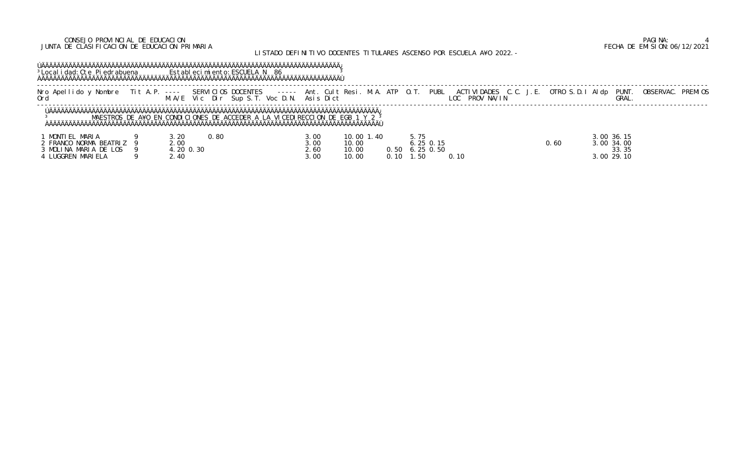### CONSEJO PROVINCIAL DE EDUCACION PAGINA: 4 JUNTA DE CLASIFICACION DE EDUCACION PRIMARIA FECHA DE EMISION:06/12/2021

## LISTADO DEFINITIVO DOCENTES TITULARES ASCENSO POR ESCUELA A¥O 2022.-

### ÚÄÄÄÄÄÄÄÄÄÄÄÄÄÄÄÄÄÄÄÄÄÄÄÄÄÄÄÄÄÄÄÄÄÄÄÄÄÄÄÄÄÄÄÄÄÄÄÄÄÄÄÄÄÄÄÄÄÄÄÄÄÄÄÄÄÄÄÄÄÄÄÄÄÄÄÄÄ¿ <sup>3</sup>Localidad: Cte Piedrabuena Establecimiento: ESCUELA N 86 3 ÀÄÄÄÄÄÄÄÄÄÄÄÄÄÄÄÄÄÄÄÄÄÄÄÄÄÄÄÄÄÄÄÄÄÄÄÄÄÄÄÄÄÄÄÄÄÄÄÄÄÄÄÄÄÄÄÄÄÄÄÄÄÄÄÄÄÄÄÄÄÄÄÄÄÄÄÄÄÙ

| Nro Apellido y Nombre Tit A.P. ---- 3L. | 4. A/E | Vic Dir Sup S.T. Voc D.N. Asis Dict | SERVICIOS DOCENTES ----- Ant. Cult Resi. M.A. ATP 0.T. | PROV NA/IN | PUBL ACTIVIDADES C.C. J.E. OTRO S.D.I AI dp PUNT. OBSERVAC.<br><b>PREMIOS</b> |  |  |  |  |  |  |
|-----------------------------------------|--------|-------------------------------------|--------------------------------------------------------|------------|-------------------------------------------------------------------------------|--|--|--|--|--|--|
|                                         |        |                                     |                                                        |            |                                                                               |  |  |  |  |  |  |

 ----------------------------------------------------------------------------------------------------------------------------------------------------------------------------- LOC PROV NA/IN GRAL. -----------------------------------------------------------------------------------------------------------------------------------------------------------------------------

 ÚÄÄÄÄÄÄÄÄÄÄÄÄÄÄÄÄÄÄÄÄÄÄÄÄÄÄÄÄÄÄÄÄÄÄÄÄÄÄÄÄÄÄÄÄÄÄÄÄÄÄÄÄÄÄÄÄÄÄÄÄÄÄÄÄÄÄÄÄÄÄÄÄÄÄÄÄÄÄÄÄÄÄÄÄÄ¿ 3 MAESTROS DE A¥O EN CONDICIONES DE ACCEDER A LA VICEDIRECCION DE EGB 1 Y 2 <sup>3</sup> ÀÄÄÄÄÄÄÄÄÄÄÄÄÄÄÄÄÄÄÄÄÄÄÄÄÄÄÄÄÄÄÄÄÄÄÄÄÄÄÄÄÄÄÄÄÄÄÄÄÄÄÄÄÄÄÄÄÄÄÄÄÄÄÄÄÄÄÄÄÄÄÄÄÄÄÄÄÄÄÄÄÄÄÄÄÄÙ

| MARI A<br><b>MONTI</b>     | 3.20<br>0.80 | 3.00 | 10.00 1<br>.40 | 5.75        |       | 36.15<br>3.00 |
|----------------------------|--------------|------|----------------|-------------|-------|---------------|
| BEATRI Z<br>2 FRANCO NORMA | .00          | 3.00 | 10.00          | . 25 0. 15  | ). 60 | 3.00 34.00    |
| 3 MOLINA MARIA DE LOS      | 20 0.30      | 2.60 | 10.00<br>0.50  | $6.25$ 0.50 |       | 33.35         |
| LUGGREN MARI ELA           | 40           | 3.00 | 10.00<br>0.10  | .50         |       | 29.10<br>3.00 |